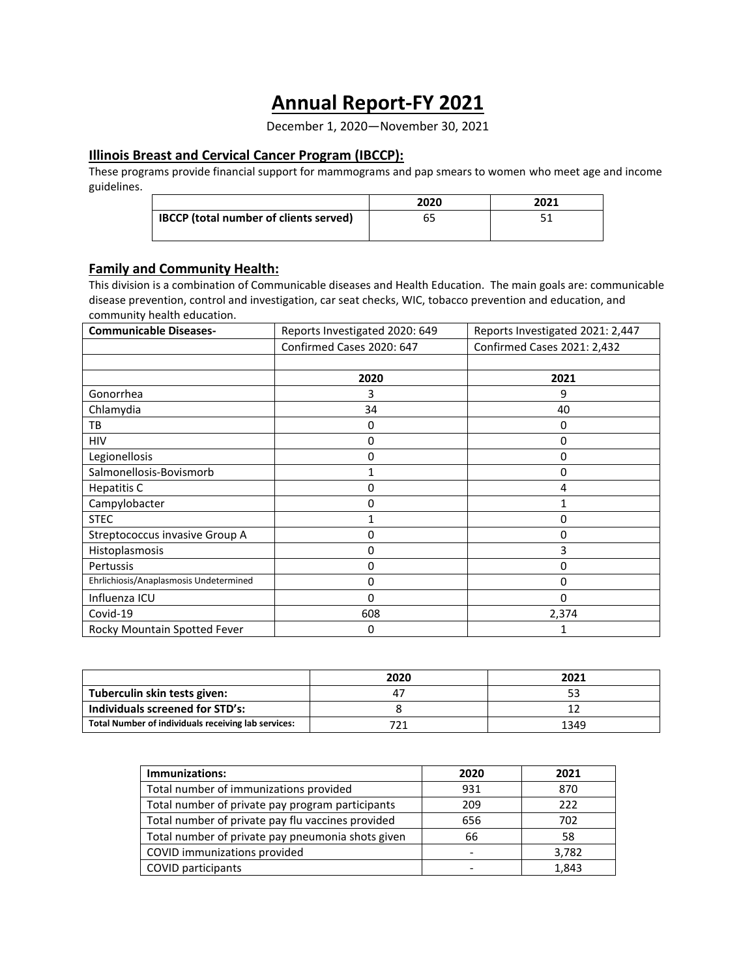# **Annual Report-FY 2021**

December 1, 2020—November 30, 2021

# **Illinois Breast and Cervical Cancer Program (IBCCP):**

These programs provide financial support for mammograms and pap smears to women who meet age and income guidelines.

|                                               | 2020 | 2021 |
|-----------------------------------------------|------|------|
| <b>IBCCP</b> (total number of clients served) |      |      |
|                                               |      |      |

# **Family and Community Health:**

This division is a combination of Communicable diseases and Health Education. The main goals are: communicable disease prevention, control and investigation, car seat checks, WIC, tobacco prevention and education, and community health education.

| <b>Communicable Diseases-</b>          | Reports Investigated 2020: 649 | Reports Investigated 2021: 2,447 |
|----------------------------------------|--------------------------------|----------------------------------|
|                                        | Confirmed Cases 2020: 647      | Confirmed Cases 2021: 2,432      |
|                                        |                                |                                  |
|                                        | 2020                           | 2021                             |
| Gonorrhea                              | 3                              | 9                                |
| Chlamydia                              | 34                             | 40                               |
| TB                                     | 0                              | 0                                |
| <b>HIV</b>                             | 0                              | 0                                |
| Legionellosis                          | 0                              | 0                                |
| Salmonellosis-Bovismorb                |                                | 0                                |
| Hepatitis C                            | 0                              | 4                                |
| Campylobacter                          | 0                              | 1                                |
| <b>STEC</b>                            |                                | 0                                |
| Streptococcus invasive Group A         | 0                              | 0                                |
| Histoplasmosis                         | 0                              | 3                                |
| Pertussis                              | 0                              | 0                                |
| Ehrlichiosis/Anaplasmosis Undetermined | 0                              | 0                                |
| Influenza ICU                          | 0                              | 0                                |
| Covid-19                               | 608                            | 2,374                            |
| Rocky Mountain Spotted Fever           | 0                              | 1                                |

|                                                     | 2020 | 2021 |
|-----------------------------------------------------|------|------|
| Tuberculin skin tests given:                        |      |      |
| Individuals screened for STD's:                     |      |      |
| Total Number of individuals receiving lab services: |      | 1349 |

| Immunizations:                                    | 2020 | 2021  |
|---------------------------------------------------|------|-------|
| Total number of immunizations provided            | 931  | 870   |
| Total number of private pay program participants  | 209  | 222   |
| Total number of private pay flu vaccines provided | 656  | 702   |
| Total number of private pay pneumonia shots given | 66   | 58    |
| COVID immunizations provided                      |      | 3,782 |
| COVID participants                                |      | 1,843 |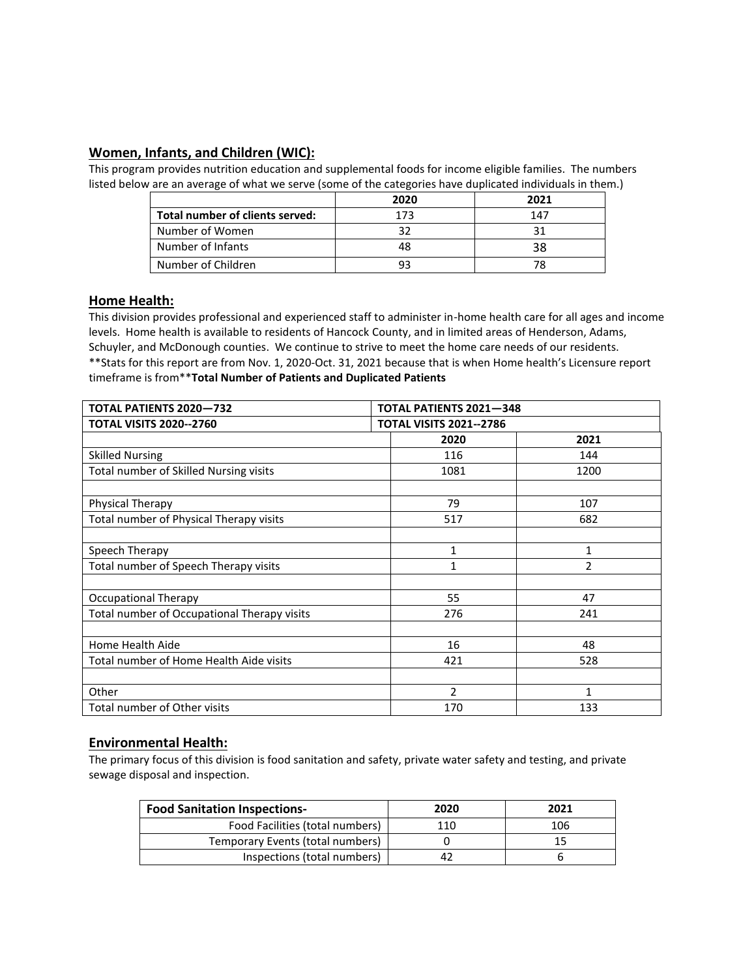# **Women, Infants, and Children (WIC):**

This program provides nutrition education and supplemental foods for income eligible families. The numbers listed below are an average of what we serve (some of the categories have duplicated individuals in them.)

|                                 | 2020 | 2021 |
|---------------------------------|------|------|
| Total number of clients served: | 173  | 147  |
| Number of Women                 |      |      |
| Number of Infants               |      |      |
| Number of Children              |      |      |

## **Home Health:**

This division provides professional and experienced staff to administer in-home health care for all ages and income levels. Home health is available to residents of Hancock County, and in limited areas of Henderson, Adams, Schuyler, and McDonough counties. We continue to strive to meet the home care needs of our residents. \*\*Stats for this report are from Nov. 1, 2020-Oct. 31, 2021 because that is when Home health's Licensure report timeframe is from\*\***Total Number of Patients and Duplicated Patients**

| <b>TOTAL PATIENTS 2020-732</b>              | <b>TOTAL PATIENTS 2021-348</b> |      |  |
|---------------------------------------------|--------------------------------|------|--|
| <b>TOTAL VISITS 2020--2760</b>              | <b>TOTAL VISITS 2021--2786</b> |      |  |
|                                             | 2020                           | 2021 |  |
| <b>Skilled Nursing</b>                      | 116                            | 144  |  |
| Total number of Skilled Nursing visits      | 1081                           | 1200 |  |
|                                             |                                |      |  |
| Physical Therapy                            | 79                             | 107  |  |
| Total number of Physical Therapy visits     | 517                            | 682  |  |
|                                             |                                |      |  |
| Speech Therapy                              | 1                              | 1    |  |
| Total number of Speech Therapy visits       | 1                              | 2    |  |
|                                             |                                |      |  |
| <b>Occupational Therapy</b>                 | 55                             | 47   |  |
| Total number of Occupational Therapy visits | 276                            | 241  |  |
|                                             |                                |      |  |
| Home Health Aide                            | 16                             | 48   |  |
| Total number of Home Health Aide visits     | 421                            | 528  |  |
|                                             |                                |      |  |
| Other                                       | $\mathcal{P}$                  | 1    |  |
| Total number of Other visits                | 170                            | 133  |  |

## **Environmental Health:**

The primary focus of this division is food sanitation and safety, private water safety and testing, and private sewage disposal and inspection.

| <b>Food Sanitation Inspections-</b> | 2020 | 2021 |
|-------------------------------------|------|------|
| Food Facilities (total numbers)     | 110  | 106  |
| Temporary Events (total numbers)    |      |      |
| Inspections (total numbers)         |      |      |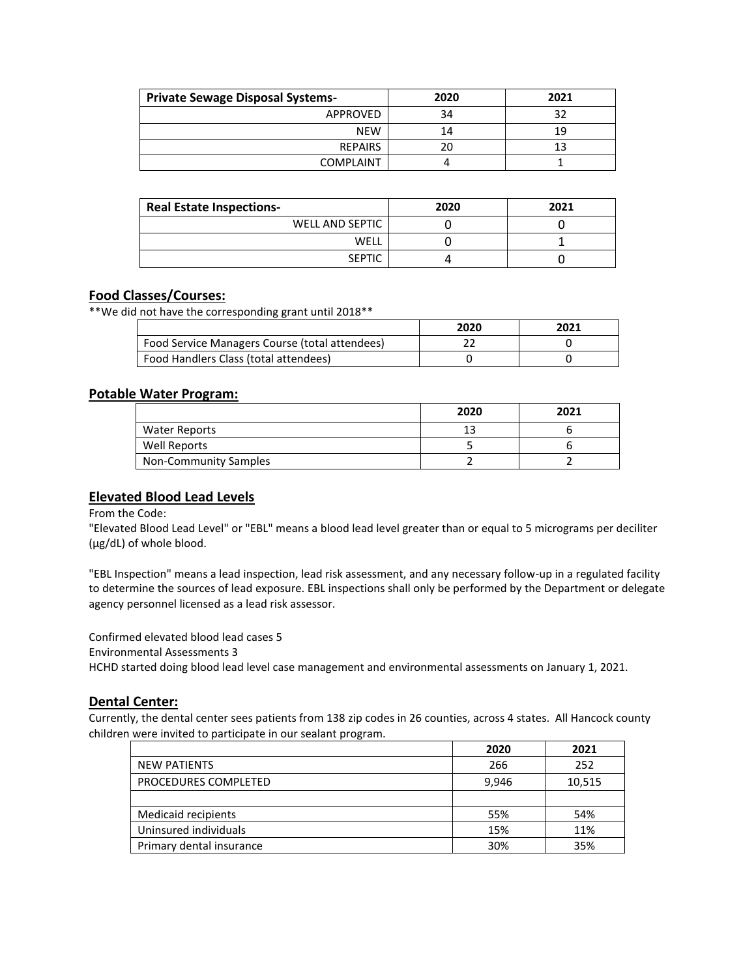| <b>Private Sewage Disposal Systems-</b> | 2020 | 2021 |
|-----------------------------------------|------|------|
| APPROVED                                | 34   | ວາ   |
| <b>NEW</b>                              | 14   | 19   |
| <b>REPAIRS</b>                          | 20   | 13   |
| <b>COMPLAINT</b>                        |      |      |

| <b>Real Estate Inspections-</b> | 2020 | 2021 |
|---------------------------------|------|------|
| WELL AND SEPTIC                 |      |      |
| WELL                            |      |      |
| <b>SEPTIC</b>                   |      |      |

# **Food Classes/Courses:**

\*\*We did not have the corresponding grant until 2018\*\*

|                                                | 2020 | 2021 |
|------------------------------------------------|------|------|
| Food Service Managers Course (total attendees) |      |      |
| Food Handlers Class (total attendees)          |      |      |

#### **Potable Water Program:**

|                              | 2020 | 2021 |
|------------------------------|------|------|
| Water Reports                |      |      |
| Well Reports                 |      |      |
| <b>Non-Community Samples</b> |      |      |

#### **Elevated Blood Lead Levels**

#### From the Code:

"Elevated Blood Lead Level" or "EBL" means a blood lead level greater than or equal to 5 micrograms per deciliter (µg/dL) of whole blood.

"EBL Inspection" means a lead inspection, lead risk assessment, and any necessary follow-up in a regulated facility to determine the sources of lead exposure. EBL inspections shall only be performed by the Department or delegate agency personnel licensed as a lead risk assessor.

Confirmed elevated blood lead cases 5 Environmental Assessments 3 HCHD started doing blood lead level case management and environmental assessments on January 1, 2021.

#### **Dental Center:**

Currently, the dental center sees patients from 138 zip codes in 26 counties, across 4 states. All Hancock county children were invited to participate in our sealant program.

|                          | 2020  | 2021   |
|--------------------------|-------|--------|
| <b>NEW PATIENTS</b>      | 266   | 252    |
| PROCEDURES COMPLETED     | 9.946 | 10,515 |
|                          |       |        |
| Medicaid recipients      | 55%   | 54%    |
| Uninsured individuals    | 15%   | 11%    |
| Primary dental insurance | 30%   | 35%    |